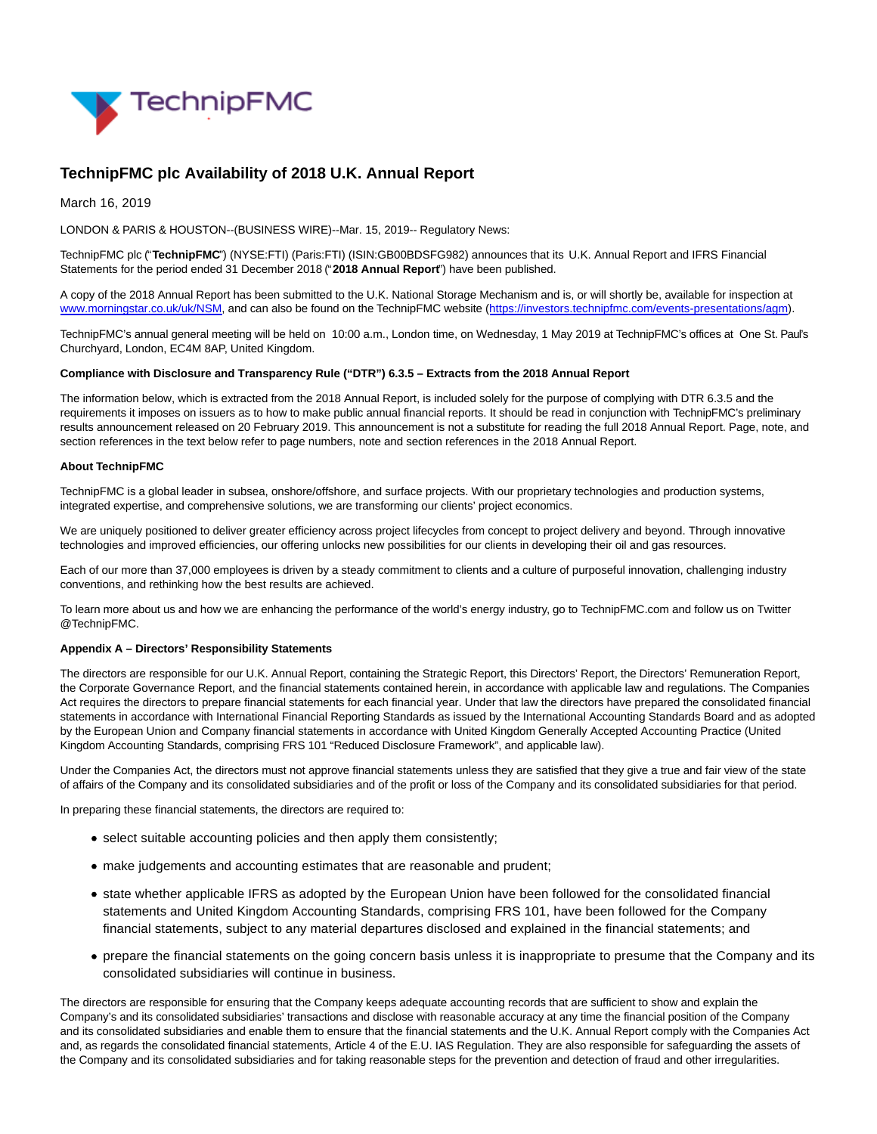

# **TechnipFMC plc Availability of 2018 U.K. Annual Report**

March 16, 2019

LONDON & PARIS & HOUSTON--(BUSINESS WIRE)--Mar. 15, 2019-- Regulatory News:

TechnipFMC plc ("**TechnipFMC**") (NYSE:FTI) (Paris:FTI) (ISIN:GB00BDSFG982) announces that its U.K. Annual Report and IFRS Financial Statements for the period ended 31 December 2018 ("**2018 Annual Report**") have been published.

A copy of the 2018 Annual Report has been submitted to the U.K. National Storage Mechanism and is, or will shortly be, available for inspection at [www.morningstar.co.uk/uk/NSM,](https://cts.businesswire.com/ct/CT?id=smartlink&url=http%3A%2F%2Fwww.morningstar.co.uk%2Fuk%2FNSM&esheet=51955858&newsitemid=20190315005599&lan=en-US&anchor=www.morningstar.co.uk%2Fuk%2FNSM&index=1&md5=026b8d8cd8f0f8c3fcb79431cedb8c9b) and can also be found on the TechnipFMC website [\(https://investors.technipfmc.com/events-presentations/agm\).](https://cts.businesswire.com/ct/CT?id=smartlink&url=https%3A%2F%2Finvestors.technipfmc.com%2Fevents-presentations%2Fagm&esheet=51955858&newsitemid=20190315005599&lan=en-US&anchor=https%3A%2F%2Finvestors.technipfmc.com%2Fevents-presentations%2Fagm&index=2&md5=9d787f2c3e3c78ccdf0ff98ddc42923f)

TechnipFMC's annual general meeting will be held on 10:00 a.m., London time, on Wednesday, 1 May 2019 at TechnipFMC's offices at One St. Paul's Churchyard, London, EC4M 8AP, United Kingdom.

# **Compliance with Disclosure and Transparency Rule ("DTR") 6.3.5 – Extracts from the 2018 Annual Report**

The information below, which is extracted from the 2018 Annual Report, is included solely for the purpose of complying with DTR 6.3.5 and the requirements it imposes on issuers as to how to make public annual financial reports. It should be read in conjunction with TechnipFMC's preliminary results announcement released on 20 February 2019. This announcement is not a substitute for reading the full 2018 Annual Report. Page, note, and section references in the text below refer to page numbers, note and section references in the 2018 Annual Report.

# **About TechnipFMC**

TechnipFMC is a global leader in subsea, onshore/offshore, and surface projects. With our proprietary technologies and production systems, integrated expertise, and comprehensive solutions, we are transforming our clients' project economics.

We are uniquely positioned to deliver greater efficiency across project lifecycles from concept to project delivery and beyond. Through innovative technologies and improved efficiencies, our offering unlocks new possibilities for our clients in developing their oil and gas resources.

Each of our more than 37,000 employees is driven by a steady commitment to clients and a culture of purposeful innovation, challenging industry conventions, and rethinking how the best results are achieved.

To learn more about us and how we are enhancing the performance of the world's energy industry, go to TechnipFMC.com and follow us on Twitter @TechnipFMC.

#### **Appendix A – Directors' Responsibility Statements**

The directors are responsible for our U.K. Annual Report, containing the Strategic Report, this Directors' Report, the Directors' Remuneration Report, the Corporate Governance Report, and the financial statements contained herein, in accordance with applicable law and regulations. The Companies Act requires the directors to prepare financial statements for each financial year. Under that law the directors have prepared the consolidated financial statements in accordance with International Financial Reporting Standards as issued by the International Accounting Standards Board and as adopted by the European Union and Company financial statements in accordance with United Kingdom Generally Accepted Accounting Practice (United Kingdom Accounting Standards, comprising FRS 101 "Reduced Disclosure Framework", and applicable law).

Under the Companies Act, the directors must not approve financial statements unless they are satisfied that they give a true and fair view of the state of affairs of the Company and its consolidated subsidiaries and of the profit or loss of the Company and its consolidated subsidiaries for that period.

In preparing these financial statements, the directors are required to:

- select suitable accounting policies and then apply them consistently;
- make judgements and accounting estimates that are reasonable and prudent;
- state whether applicable IFRS as adopted by the European Union have been followed for the consolidated financial statements and United Kingdom Accounting Standards, comprising FRS 101, have been followed for the Company financial statements, subject to any material departures disclosed and explained in the financial statements; and
- prepare the financial statements on the going concern basis unless it is inappropriate to presume that the Company and its consolidated subsidiaries will continue in business.

The directors are responsible for ensuring that the Company keeps adequate accounting records that are sufficient to show and explain the Company's and its consolidated subsidiaries' transactions and disclose with reasonable accuracy at any time the financial position of the Company and its consolidated subsidiaries and enable them to ensure that the financial statements and the U.K. Annual Report comply with the Companies Act and, as regards the consolidated financial statements, Article 4 of the E.U. IAS Regulation. They are also responsible for safeguarding the assets of the Company and its consolidated subsidiaries and for taking reasonable steps for the prevention and detection of fraud and other irregularities.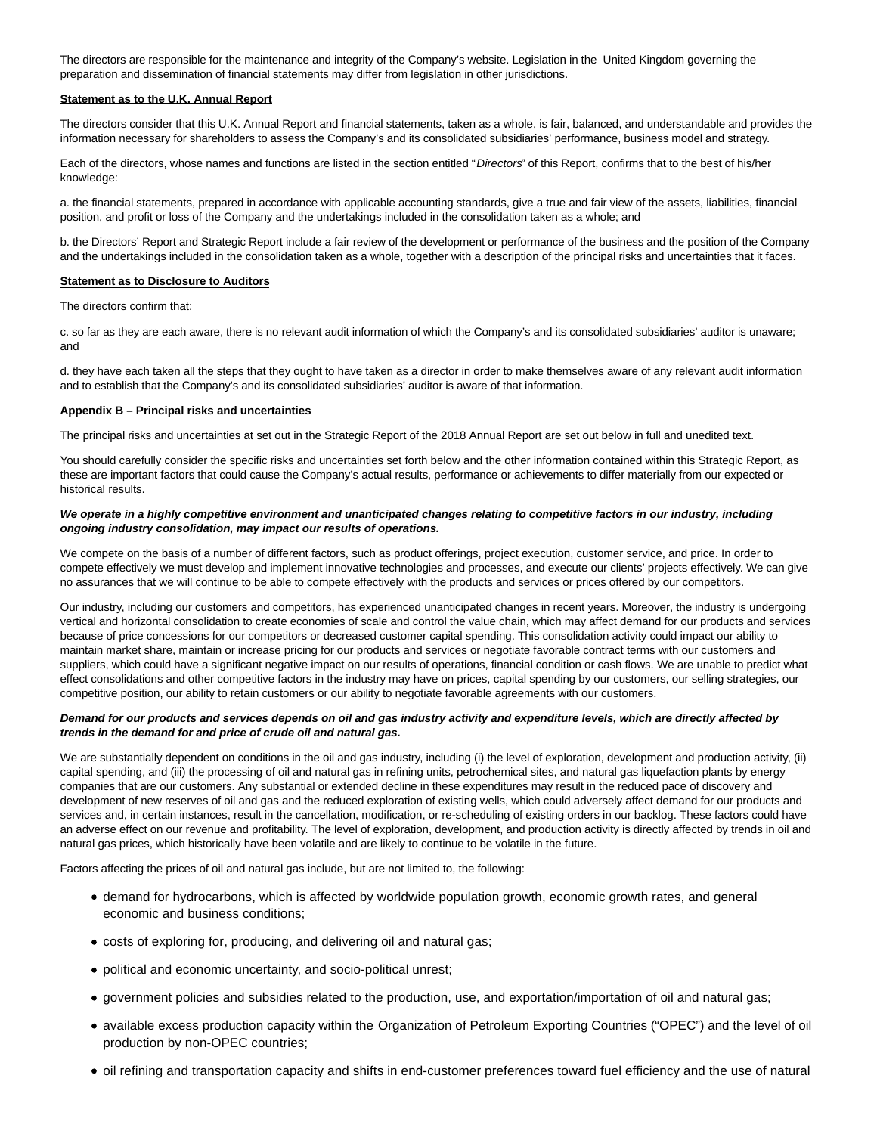The directors are responsible for the maintenance and integrity of the Company's website. Legislation in the United Kingdom governing the preparation and dissemination of financial statements may differ from legislation in other jurisdictions.

#### **Statement as to the U.K. Annual Report**

The directors consider that this U.K. Annual Report and financial statements, taken as a whole, is fair, balanced, and understandable and provides the information necessary for shareholders to assess the Company's and its consolidated subsidiaries' performance, business model and strategy.

Each of the directors, whose names and functions are listed in the section entitled "Directors" of this Report, confirms that to the best of his/her knowledge:

a. the financial statements, prepared in accordance with applicable accounting standards, give a true and fair view of the assets, liabilities, financial position, and profit or loss of the Company and the undertakings included in the consolidation taken as a whole; and

b. the Directors' Report and Strategic Report include a fair review of the development or performance of the business and the position of the Company and the undertakings included in the consolidation taken as a whole, together with a description of the principal risks and uncertainties that it faces.

#### **Statement as to Disclosure to Auditors**

The directors confirm that:

c. so far as they are each aware, there is no relevant audit information of which the Company's and its consolidated subsidiaries' auditor is unaware; and

d. they have each taken all the steps that they ought to have taken as a director in order to make themselves aware of any relevant audit information and to establish that the Company's and its consolidated subsidiaries' auditor is aware of that information.

#### **Appendix B – Principal risks and uncertainties**

The principal risks and uncertainties at set out in the Strategic Report of the 2018 Annual Report are set out below in full and unedited text.

You should carefully consider the specific risks and uncertainties set forth below and the other information contained within this Strategic Report, as these are important factors that could cause the Company's actual results, performance or achievements to differ materially from our expected or historical results.

#### **We operate in a highly competitive environment and unanticipated changes relating to competitive factors in our industry, including ongoing industry consolidation, may impact our results of operations.**

We compete on the basis of a number of different factors, such as product offerings, project execution, customer service, and price. In order to compete effectively we must develop and implement innovative technologies and processes, and execute our clients' projects effectively. We can give no assurances that we will continue to be able to compete effectively with the products and services or prices offered by our competitors.

Our industry, including our customers and competitors, has experienced unanticipated changes in recent years. Moreover, the industry is undergoing vertical and horizontal consolidation to create economies of scale and control the value chain, which may affect demand for our products and services because of price concessions for our competitors or decreased customer capital spending. This consolidation activity could impact our ability to maintain market share, maintain or increase pricing for our products and services or negotiate favorable contract terms with our customers and suppliers, which could have a significant negative impact on our results of operations, financial condition or cash flows. We are unable to predict what effect consolidations and other competitive factors in the industry may have on prices, capital spending by our customers, our selling strategies, our competitive position, our ability to retain customers or our ability to negotiate favorable agreements with our customers.

# **Demand for our products and services depends on oil and gas industry activity and expenditure levels, which are directly affected by trends in the demand for and price of crude oil and natural gas.**

We are substantially dependent on conditions in the oil and gas industry, including (i) the level of exploration, development and production activity, (ii) capital spending, and (iii) the processing of oil and natural gas in refining units, petrochemical sites, and natural gas liquefaction plants by energy companies that are our customers. Any substantial or extended decline in these expenditures may result in the reduced pace of discovery and development of new reserves of oil and gas and the reduced exploration of existing wells, which could adversely affect demand for our products and services and, in certain instances, result in the cancellation, modification, or re-scheduling of existing orders in our backlog. These factors could have an adverse effect on our revenue and profitability. The level of exploration, development, and production activity is directly affected by trends in oil and natural gas prices, which historically have been volatile and are likely to continue to be volatile in the future.

Factors affecting the prices of oil and natural gas include, but are not limited to, the following:

- demand for hydrocarbons, which is affected by worldwide population growth, economic growth rates, and general economic and business conditions;
- costs of exploring for, producing, and delivering oil and natural gas;
- political and economic uncertainty, and socio-political unrest;
- government policies and subsidies related to the production, use, and exportation/importation of oil and natural gas;
- available excess production capacity within the Organization of Petroleum Exporting Countries ("OPEC") and the level of oil production by non-OPEC countries;
- oil refining and transportation capacity and shifts in end-customer preferences toward fuel efficiency and the use of natural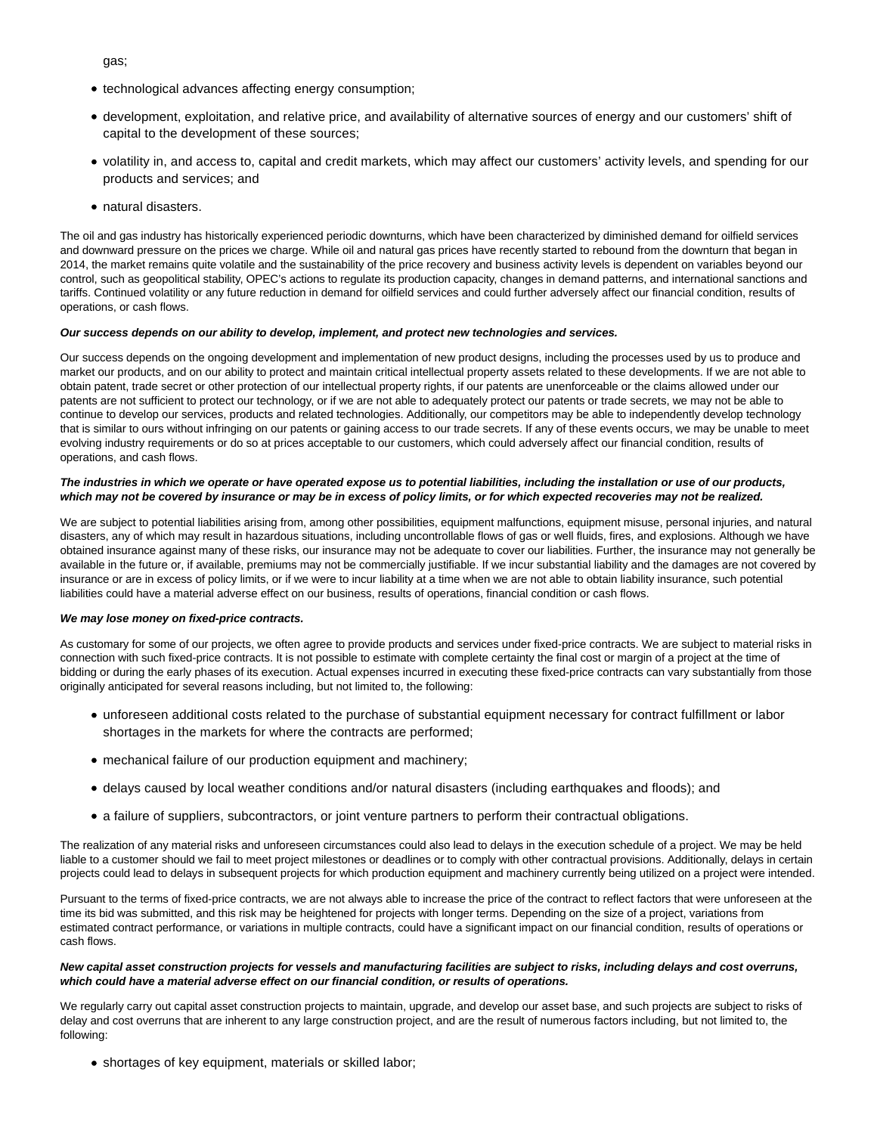gas;

- technological advances affecting energy consumption;
- development, exploitation, and relative price, and availability of alternative sources of energy and our customers' shift of capital to the development of these sources;
- volatility in, and access to, capital and credit markets, which may affect our customers' activity levels, and spending for our products and services; and
- natural disasters.

The oil and gas industry has historically experienced periodic downturns, which have been characterized by diminished demand for oilfield services and downward pressure on the prices we charge. While oil and natural gas prices have recently started to rebound from the downturn that began in 2014, the market remains quite volatile and the sustainability of the price recovery and business activity levels is dependent on variables beyond our control, such as geopolitical stability, OPEC's actions to regulate its production capacity, changes in demand patterns, and international sanctions and tariffs. Continued volatility or any future reduction in demand for oilfield services and could further adversely affect our financial condition, results of operations, or cash flows.

#### **Our success depends on our ability to develop, implement, and protect new technologies and services.**

Our success depends on the ongoing development and implementation of new product designs, including the processes used by us to produce and market our products, and on our ability to protect and maintain critical intellectual property assets related to these developments. If we are not able to obtain patent, trade secret or other protection of our intellectual property rights, if our patents are unenforceable or the claims allowed under our patents are not sufficient to protect our technology, or if we are not able to adequately protect our patents or trade secrets, we may not be able to continue to develop our services, products and related technologies. Additionally, our competitors may be able to independently develop technology that is similar to ours without infringing on our patents or gaining access to our trade secrets. If any of these events occurs, we may be unable to meet evolving industry requirements or do so at prices acceptable to our customers, which could adversely affect our financial condition, results of operations, and cash flows.

# **The industries in which we operate or have operated expose us to potential liabilities, including the installation or use of our products, which may not be covered by insurance or may be in excess of policy limits, or for which expected recoveries may not be realized.**

We are subject to potential liabilities arising from, among other possibilities, equipment malfunctions, equipment misuse, personal injuries, and natural disasters, any of which may result in hazardous situations, including uncontrollable flows of gas or well fluids, fires, and explosions. Although we have obtained insurance against many of these risks, our insurance may not be adequate to cover our liabilities. Further, the insurance may not generally be available in the future or, if available, premiums may not be commercially justifiable. If we incur substantial liability and the damages are not covered by insurance or are in excess of policy limits, or if we were to incur liability at a time when we are not able to obtain liability insurance, such potential liabilities could have a material adverse effect on our business, results of operations, financial condition or cash flows.

#### **We may lose money on fixed-price contracts.**

As customary for some of our projects, we often agree to provide products and services under fixed-price contracts. We are subject to material risks in connection with such fixed-price contracts. It is not possible to estimate with complete certainty the final cost or margin of a project at the time of bidding or during the early phases of its execution. Actual expenses incurred in executing these fixed-price contracts can vary substantially from those originally anticipated for several reasons including, but not limited to, the following:

- unforeseen additional costs related to the purchase of substantial equipment necessary for contract fulfillment or labor shortages in the markets for where the contracts are performed;
- mechanical failure of our production equipment and machinery;
- delays caused by local weather conditions and/or natural disasters (including earthquakes and floods); and
- a failure of suppliers, subcontractors, or joint venture partners to perform their contractual obligations.

The realization of any material risks and unforeseen circumstances could also lead to delays in the execution schedule of a project. We may be held liable to a customer should we fail to meet project milestones or deadlines or to comply with other contractual provisions. Additionally, delays in certain projects could lead to delays in subsequent projects for which production equipment and machinery currently being utilized on a project were intended.

Pursuant to the terms of fixed-price contracts, we are not always able to increase the price of the contract to reflect factors that were unforeseen at the time its bid was submitted, and this risk may be heightened for projects with longer terms. Depending on the size of a project, variations from estimated contract performance, or variations in multiple contracts, could have a significant impact on our financial condition, results of operations or cash flows.

#### **New capital asset construction projects for vessels and manufacturing facilities are subject to risks, including delays and cost overruns, which could have a material adverse effect on our financial condition, or results of operations.**

We regularly carry out capital asset construction projects to maintain, upgrade, and develop our asset base, and such projects are subject to risks of delay and cost overruns that are inherent to any large construction project, and are the result of numerous factors including, but not limited to, the following:

shortages of key equipment, materials or skilled labor;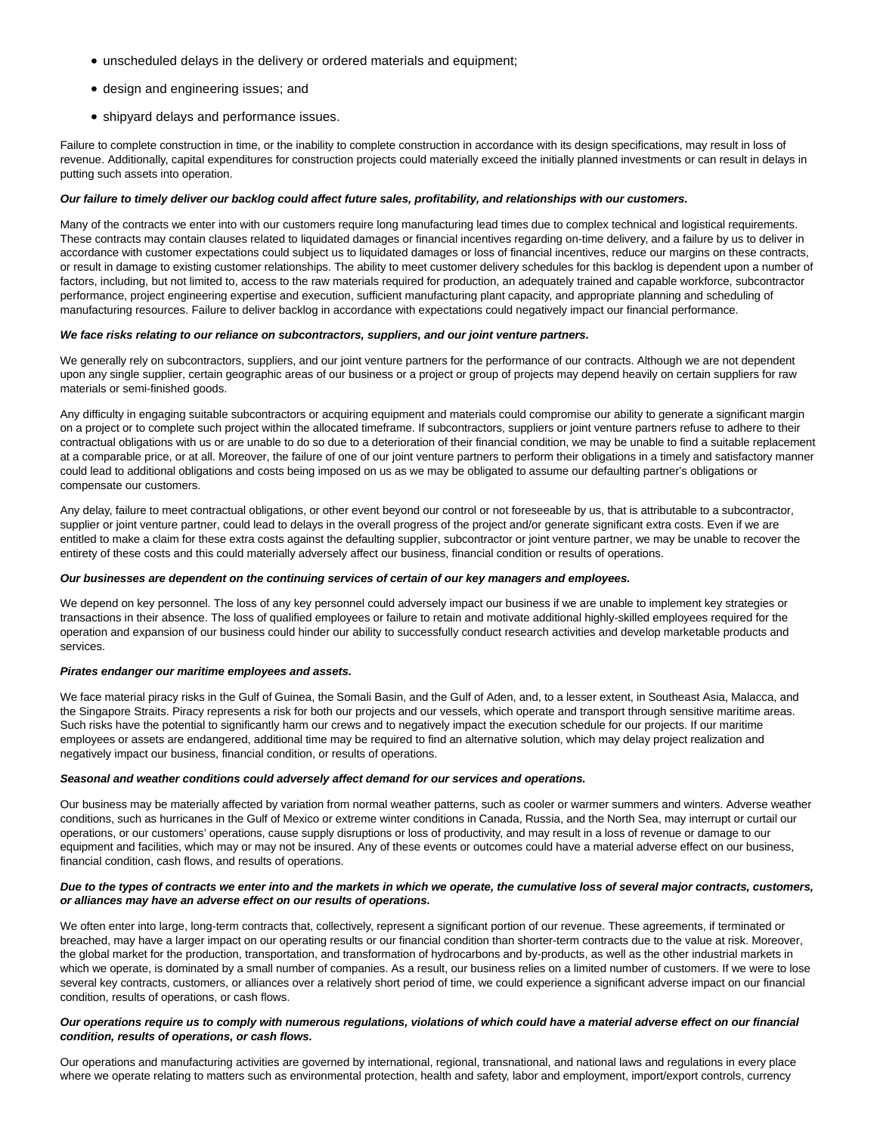- unscheduled delays in the delivery or ordered materials and equipment;
- design and engineering issues; and
- shipyard delays and performance issues.

Failure to complete construction in time, or the inability to complete construction in accordance with its design specifications, may result in loss of revenue. Additionally, capital expenditures for construction projects could materially exceed the initially planned investments or can result in delays in putting such assets into operation.

# **Our failure to timely deliver our backlog could affect future sales, profitability, and relationships with our customers.**

Many of the contracts we enter into with our customers require long manufacturing lead times due to complex technical and logistical requirements. These contracts may contain clauses related to liquidated damages or financial incentives regarding on-time delivery, and a failure by us to deliver in accordance with customer expectations could subject us to liquidated damages or loss of financial incentives, reduce our margins on these contracts, or result in damage to existing customer relationships. The ability to meet customer delivery schedules for this backlog is dependent upon a number of factors, including, but not limited to, access to the raw materials required for production, an adequately trained and capable workforce, subcontractor performance, project engineering expertise and execution, sufficient manufacturing plant capacity, and appropriate planning and scheduling of manufacturing resources. Failure to deliver backlog in accordance with expectations could negatively impact our financial performance.

# **We face risks relating to our reliance on subcontractors, suppliers, and our joint venture partners.**

We generally rely on subcontractors, suppliers, and our joint venture partners for the performance of our contracts. Although we are not dependent upon any single supplier, certain geographic areas of our business or a project or group of projects may depend heavily on certain suppliers for raw materials or semi-finished goods.

Any difficulty in engaging suitable subcontractors or acquiring equipment and materials could compromise our ability to generate a significant margin on a project or to complete such project within the allocated timeframe. If subcontractors, suppliers or joint venture partners refuse to adhere to their contractual obligations with us or are unable to do so due to a deterioration of their financial condition, we may be unable to find a suitable replacement at a comparable price, or at all. Moreover, the failure of one of our joint venture partners to perform their obligations in a timely and satisfactory manner could lead to additional obligations and costs being imposed on us as we may be obligated to assume our defaulting partner's obligations or compensate our customers.

Any delay, failure to meet contractual obligations, or other event beyond our control or not foreseeable by us, that is attributable to a subcontractor, supplier or joint venture partner, could lead to delays in the overall progress of the project and/or generate significant extra costs. Even if we are entitled to make a claim for these extra costs against the defaulting supplier, subcontractor or joint venture partner, we may be unable to recover the entirety of these costs and this could materially adversely affect our business, financial condition or results of operations.

#### **Our businesses are dependent on the continuing services of certain of our key managers and employees.**

We depend on key personnel. The loss of any key personnel could adversely impact our business if we are unable to implement key strategies or transactions in their absence. The loss of qualified employees or failure to retain and motivate additional highly-skilled employees required for the operation and expansion of our business could hinder our ability to successfully conduct research activities and develop marketable products and services.

#### **Pirates endanger our maritime employees and assets.**

We face material piracy risks in the Gulf of Guinea, the Somali Basin, and the Gulf of Aden, and, to a lesser extent, in Southeast Asia, Malacca, and the Singapore Straits. Piracy represents a risk for both our projects and our vessels, which operate and transport through sensitive maritime areas. Such risks have the potential to significantly harm our crews and to negatively impact the execution schedule for our projects. If our maritime employees or assets are endangered, additional time may be required to find an alternative solution, which may delay project realization and negatively impact our business, financial condition, or results of operations.

# **Seasonal and weather conditions could adversely affect demand for our services and operations.**

Our business may be materially affected by variation from normal weather patterns, such as cooler or warmer summers and winters. Adverse weather conditions, such as hurricanes in the Gulf of Mexico or extreme winter conditions in Canada, Russia, and the North Sea, may interrupt or curtail our operations, or our customers' operations, cause supply disruptions or loss of productivity, and may result in a loss of revenue or damage to our equipment and facilities, which may or may not be insured. Any of these events or outcomes could have a material adverse effect on our business, financial condition, cash flows, and results of operations.

# **Due to the types of contracts we enter into and the markets in which we operate, the cumulative loss of several major contracts, customers, or alliances may have an adverse effect on our results of operations.**

We often enter into large, long-term contracts that, collectively, represent a significant portion of our revenue. These agreements, if terminated or breached, may have a larger impact on our operating results or our financial condition than shorter-term contracts due to the value at risk. Moreover, the global market for the production, transportation, and transformation of hydrocarbons and by-products, as well as the other industrial markets in which we operate, is dominated by a small number of companies. As a result, our business relies on a limited number of customers. If we were to lose several key contracts, customers, or alliances over a relatively short period of time, we could experience a significant adverse impact on our financial condition, results of operations, or cash flows.

# **Our operations require us to comply with numerous regulations, violations of which could have a material adverse effect on our financial condition, results of operations, or cash flows.**

Our operations and manufacturing activities are governed by international, regional, transnational, and national laws and regulations in every place where we operate relating to matters such as environmental protection, health and safety, labor and employment, import/export controls, currency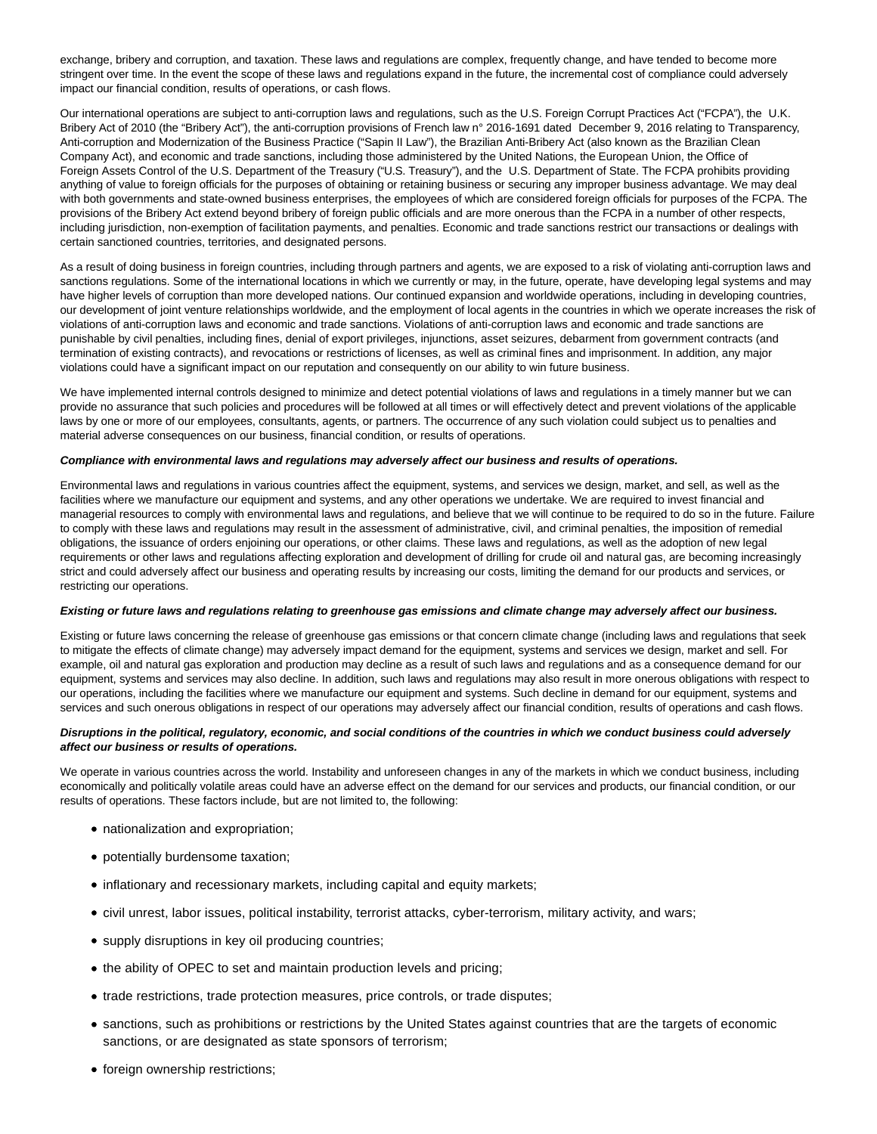exchange, bribery and corruption, and taxation. These laws and regulations are complex, frequently change, and have tended to become more stringent over time. In the event the scope of these laws and regulations expand in the future, the incremental cost of compliance could adversely impact our financial condition, results of operations, or cash flows.

Our international operations are subject to anti-corruption laws and regulations, such as the U.S. Foreign Corrupt Practices Act ("FCPA"), the U.K. Bribery Act of 2010 (the "Bribery Act"), the anti-corruption provisions of French law n° 2016-1691 dated December 9, 2016 relating to Transparency, Anti-corruption and Modernization of the Business Practice ("Sapin II Law"), the Brazilian Anti-Bribery Act (also known as the Brazilian Clean Company Act), and economic and trade sanctions, including those administered by the United Nations, the European Union, the Office of Foreign Assets Control of the U.S. Department of the Treasury ("U.S. Treasury"), and the U.S. Department of State. The FCPA prohibits providing anything of value to foreign officials for the purposes of obtaining or retaining business or securing any improper business advantage. We may deal with both governments and state-owned business enterprises, the employees of which are considered foreign officials for purposes of the FCPA. The provisions of the Bribery Act extend beyond bribery of foreign public officials and are more onerous than the FCPA in a number of other respects, including jurisdiction, non-exemption of facilitation payments, and penalties. Economic and trade sanctions restrict our transactions or dealings with certain sanctioned countries, territories, and designated persons.

As a result of doing business in foreign countries, including through partners and agents, we are exposed to a risk of violating anti-corruption laws and sanctions regulations. Some of the international locations in which we currently or may, in the future, operate, have developing legal systems and may have higher levels of corruption than more developed nations. Our continued expansion and worldwide operations, including in developing countries, our development of joint venture relationships worldwide, and the employment of local agents in the countries in which we operate increases the risk of violations of anti-corruption laws and economic and trade sanctions. Violations of anti-corruption laws and economic and trade sanctions are punishable by civil penalties, including fines, denial of export privileges, injunctions, asset seizures, debarment from government contracts (and termination of existing contracts), and revocations or restrictions of licenses, as well as criminal fines and imprisonment. In addition, any major violations could have a significant impact on our reputation and consequently on our ability to win future business.

We have implemented internal controls designed to minimize and detect potential violations of laws and regulations in a timely manner but we can provide no assurance that such policies and procedures will be followed at all times or will effectively detect and prevent violations of the applicable laws by one or more of our employees, consultants, agents, or partners. The occurrence of any such violation could subject us to penalties and material adverse consequences on our business, financial condition, or results of operations.

#### **Compliance with environmental laws and regulations may adversely affect our business and results of operations.**

Environmental laws and regulations in various countries affect the equipment, systems, and services we design, market, and sell, as well as the facilities where we manufacture our equipment and systems, and any other operations we undertake. We are required to invest financial and managerial resources to comply with environmental laws and regulations, and believe that we will continue to be required to do so in the future. Failure to comply with these laws and regulations may result in the assessment of administrative, civil, and criminal penalties, the imposition of remedial obligations, the issuance of orders enjoining our operations, or other claims. These laws and regulations, as well as the adoption of new legal requirements or other laws and regulations affecting exploration and development of drilling for crude oil and natural gas, are becoming increasingly strict and could adversely affect our business and operating results by increasing our costs, limiting the demand for our products and services, or restricting our operations.

#### **Existing or future laws and regulations relating to greenhouse gas emissions and climate change may adversely affect our business.**

Existing or future laws concerning the release of greenhouse gas emissions or that concern climate change (including laws and regulations that seek to mitigate the effects of climate change) may adversely impact demand for the equipment, systems and services we design, market and sell. For example, oil and natural gas exploration and production may decline as a result of such laws and regulations and as a consequence demand for our equipment, systems and services may also decline. In addition, such laws and regulations may also result in more onerous obligations with respect to our operations, including the facilities where we manufacture our equipment and systems. Such decline in demand for our equipment, systems and services and such onerous obligations in respect of our operations may adversely affect our financial condition, results of operations and cash flows.

# **Disruptions in the political, regulatory, economic, and social conditions of the countries in which we conduct business could adversely affect our business or results of operations.**

We operate in various countries across the world. Instability and unforeseen changes in any of the markets in which we conduct business, including economically and politically volatile areas could have an adverse effect on the demand for our services and products, our financial condition, or our results of operations. These factors include, but are not limited to, the following:

- nationalization and expropriation;
- potentially burdensome taxation;
- inflationary and recessionary markets, including capital and equity markets;
- civil unrest, labor issues, political instability, terrorist attacks, cyber-terrorism, military activity, and wars;
- supply disruptions in key oil producing countries;
- the ability of OPEC to set and maintain production levels and pricing;
- trade restrictions, trade protection measures, price controls, or trade disputes;
- sanctions, such as prohibitions or restrictions by the United States against countries that are the targets of economic sanctions, or are designated as state sponsors of terrorism;
- foreign ownership restrictions;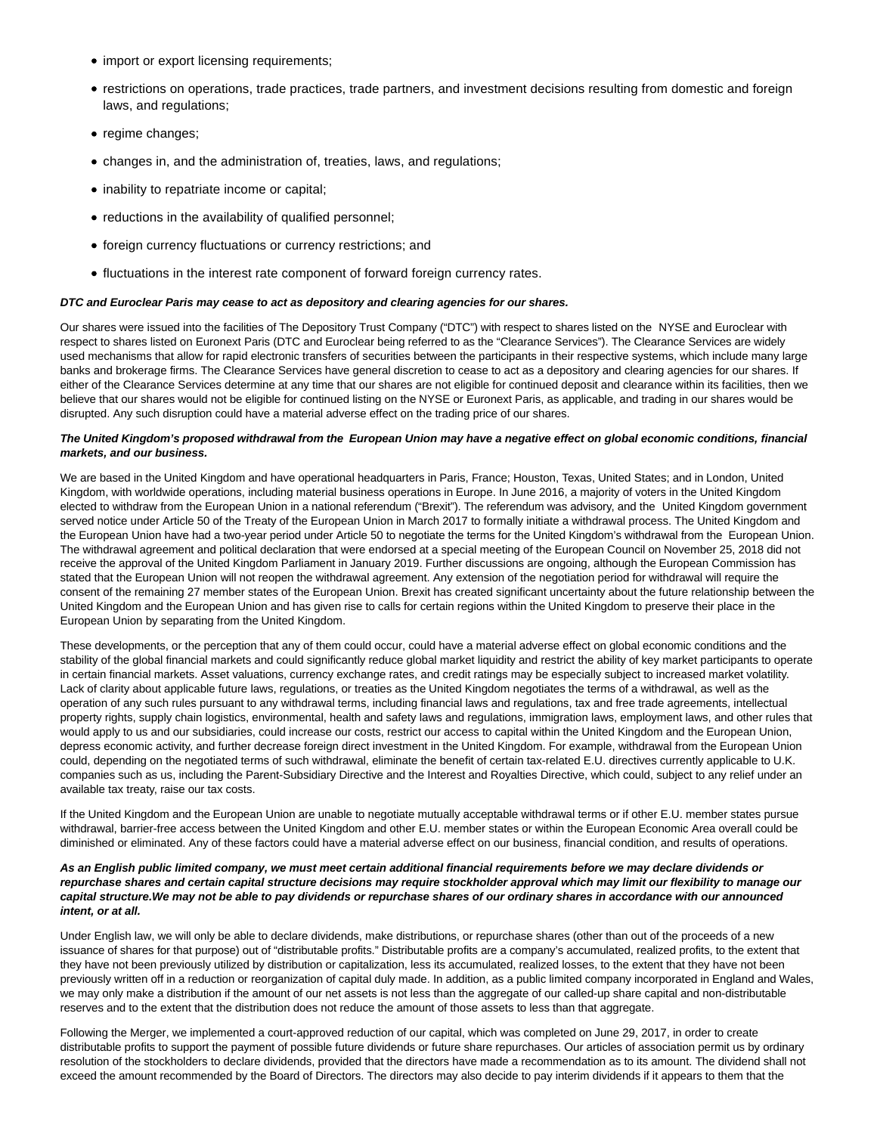- import or export licensing requirements;
- restrictions on operations, trade practices, trade partners, and investment decisions resulting from domestic and foreign laws, and regulations;
- regime changes;
- changes in, and the administration of, treaties, laws, and regulations;
- inability to repatriate income or capital;
- reductions in the availability of qualified personnel;
- foreign currency fluctuations or currency restrictions; and
- fluctuations in the interest rate component of forward foreign currency rates.

# **DTC and Euroclear Paris may cease to act as depository and clearing agencies for our shares.**

Our shares were issued into the facilities of The Depository Trust Company ("DTC") with respect to shares listed on the NYSE and Euroclear with respect to shares listed on Euronext Paris (DTC and Euroclear being referred to as the "Clearance Services"). The Clearance Services are widely used mechanisms that allow for rapid electronic transfers of securities between the participants in their respective systems, which include many large banks and brokerage firms. The Clearance Services have general discretion to cease to act as a depository and clearing agencies for our shares. If either of the Clearance Services determine at any time that our shares are not eligible for continued deposit and clearance within its facilities, then we believe that our shares would not be eligible for continued listing on the NYSE or Euronext Paris, as applicable, and trading in our shares would be disrupted. Any such disruption could have a material adverse effect on the trading price of our shares.

# **The United Kingdom's proposed withdrawal from the European Union may have a negative effect on global economic conditions, financial markets, and our business.**

We are based in the United Kingdom and have operational headquarters in Paris, France; Houston, Texas, United States; and in London, United Kingdom, with worldwide operations, including material business operations in Europe. In June 2016, a majority of voters in the United Kingdom elected to withdraw from the European Union in a national referendum ("Brexit"). The referendum was advisory, and the United Kingdom government served notice under Article 50 of the Treaty of the European Union in March 2017 to formally initiate a withdrawal process. The United Kingdom and the European Union have had a two-year period under Article 50 to negotiate the terms for the United Kingdom's withdrawal from the European Union. The withdrawal agreement and political declaration that were endorsed at a special meeting of the European Council on November 25, 2018 did not receive the approval of the United Kingdom Parliament in January 2019. Further discussions are ongoing, although the European Commission has stated that the European Union will not reopen the withdrawal agreement. Any extension of the negotiation period for withdrawal will require the consent of the remaining 27 member states of the European Union. Brexit has created significant uncertainty about the future relationship between the United Kingdom and the European Union and has given rise to calls for certain regions within the United Kingdom to preserve their place in the European Union by separating from the United Kingdom.

These developments, or the perception that any of them could occur, could have a material adverse effect on global economic conditions and the stability of the global financial markets and could significantly reduce global market liquidity and restrict the ability of key market participants to operate in certain financial markets. Asset valuations, currency exchange rates, and credit ratings may be especially subject to increased market volatility. Lack of clarity about applicable future laws, regulations, or treaties as the United Kingdom negotiates the terms of a withdrawal, as well as the operation of any such rules pursuant to any withdrawal terms, including financial laws and regulations, tax and free trade agreements, intellectual property rights, supply chain logistics, environmental, health and safety laws and regulations, immigration laws, employment laws, and other rules that would apply to us and our subsidiaries, could increase our costs, restrict our access to capital within the United Kingdom and the European Union, depress economic activity, and further decrease foreign direct investment in the United Kingdom. For example, withdrawal from the European Union could, depending on the negotiated terms of such withdrawal, eliminate the benefit of certain tax-related E.U. directives currently applicable to U.K. companies such as us, including the Parent-Subsidiary Directive and the Interest and Royalties Directive, which could, subject to any relief under an available tax treaty, raise our tax costs.

If the United Kingdom and the European Union are unable to negotiate mutually acceptable withdrawal terms or if other E.U. member states pursue withdrawal, barrier-free access between the United Kingdom and other E.U. member states or within the European Economic Area overall could be diminished or eliminated. Any of these factors could have a material adverse effect on our business, financial condition, and results of operations.

# **As an English public limited company, we must meet certain additional financial requirements before we may declare dividends or repurchase shares and certain capital structure decisions may require stockholder approval which may limit our flexibility to manage our capital structure.We may not be able to pay dividends or repurchase shares of our ordinary shares in accordance with our announced intent, or at all.**

Under English law, we will only be able to declare dividends, make distributions, or repurchase shares (other than out of the proceeds of a new issuance of shares for that purpose) out of "distributable profits." Distributable profits are a company's accumulated, realized profits, to the extent that they have not been previously utilized by distribution or capitalization, less its accumulated, realized losses, to the extent that they have not been previously written off in a reduction or reorganization of capital duly made. In addition, as a public limited company incorporated in England and Wales, we may only make a distribution if the amount of our net assets is not less than the aggregate of our called-up share capital and non-distributable reserves and to the extent that the distribution does not reduce the amount of those assets to less than that aggregate.

Following the Merger, we implemented a court-approved reduction of our capital, which was completed on June 29, 2017, in order to create distributable profits to support the payment of possible future dividends or future share repurchases. Our articles of association permit us by ordinary resolution of the stockholders to declare dividends, provided that the directors have made a recommendation as to its amount. The dividend shall not exceed the amount recommended by the Board of Directors. The directors may also decide to pay interim dividends if it appears to them that the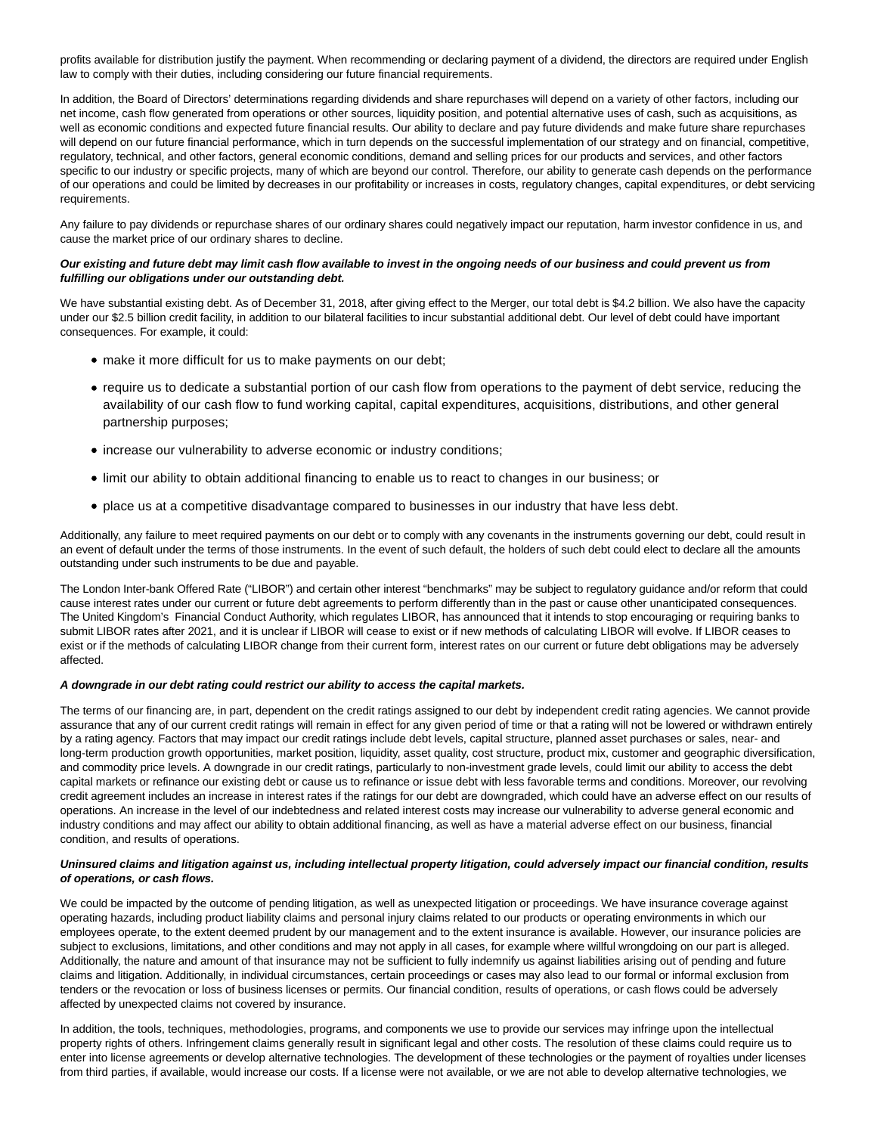profits available for distribution justify the payment. When recommending or declaring payment of a dividend, the directors are required under English law to comply with their duties, including considering our future financial requirements.

In addition, the Board of Directors' determinations regarding dividends and share repurchases will depend on a variety of other factors, including our net income, cash flow generated from operations or other sources, liquidity position, and potential alternative uses of cash, such as acquisitions, as well as economic conditions and expected future financial results. Our ability to declare and pay future dividends and make future share repurchases will depend on our future financial performance, which in turn depends on the successful implementation of our strategy and on financial, competitive, regulatory, technical, and other factors, general economic conditions, demand and selling prices for our products and services, and other factors specific to our industry or specific projects, many of which are beyond our control. Therefore, our ability to generate cash depends on the performance of our operations and could be limited by decreases in our profitability or increases in costs, regulatory changes, capital expenditures, or debt servicing requirements.

Any failure to pay dividends or repurchase shares of our ordinary shares could negatively impact our reputation, harm investor confidence in us, and cause the market price of our ordinary shares to decline.

# **Our existing and future debt may limit cash flow available to invest in the ongoing needs of our business and could prevent us from fulfilling our obligations under our outstanding debt.**

We have substantial existing debt. As of December 31, 2018, after giving effect to the Merger, our total debt is \$4.2 billion. We also have the capacity under our \$2.5 billion credit facility, in addition to our bilateral facilities to incur substantial additional debt. Our level of debt could have important consequences. For example, it could:

- make it more difficult for us to make payments on our debt;
- require us to dedicate a substantial portion of our cash flow from operations to the payment of debt service, reducing the availability of our cash flow to fund working capital, capital expenditures, acquisitions, distributions, and other general partnership purposes;
- increase our vulnerability to adverse economic or industry conditions;
- limit our ability to obtain additional financing to enable us to react to changes in our business; or
- place us at a competitive disadvantage compared to businesses in our industry that have less debt.

Additionally, any failure to meet required payments on our debt or to comply with any covenants in the instruments governing our debt, could result in an event of default under the terms of those instruments. In the event of such default, the holders of such debt could elect to declare all the amounts outstanding under such instruments to be due and payable.

The London Inter-bank Offered Rate ("LIBOR") and certain other interest "benchmarks" may be subject to regulatory guidance and/or reform that could cause interest rates under our current or future debt agreements to perform differently than in the past or cause other unanticipated consequences. The United Kingdom's Financial Conduct Authority, which regulates LIBOR, has announced that it intends to stop encouraging or requiring banks to submit LIBOR rates after 2021, and it is unclear if LIBOR will cease to exist or if new methods of calculating LIBOR will evolve. If LIBOR ceases to exist or if the methods of calculating LIBOR change from their current form, interest rates on our current or future debt obligations may be adversely affected.

# **A downgrade in our debt rating could restrict our ability to access the capital markets.**

The terms of our financing are, in part, dependent on the credit ratings assigned to our debt by independent credit rating agencies. We cannot provide assurance that any of our current credit ratings will remain in effect for any given period of time or that a rating will not be lowered or withdrawn entirely by a rating agency. Factors that may impact our credit ratings include debt levels, capital structure, planned asset purchases or sales, near- and long-term production growth opportunities, market position, liquidity, asset quality, cost structure, product mix, customer and geographic diversification, and commodity price levels. A downgrade in our credit ratings, particularly to non-investment grade levels, could limit our ability to access the debt capital markets or refinance our existing debt or cause us to refinance or issue debt with less favorable terms and conditions. Moreover, our revolving credit agreement includes an increase in interest rates if the ratings for our debt are downgraded, which could have an adverse effect on our results of operations. An increase in the level of our indebtedness and related interest costs may increase our vulnerability to adverse general economic and industry conditions and may affect our ability to obtain additional financing, as well as have a material adverse effect on our business, financial condition, and results of operations.

# **Uninsured claims and litigation against us, including intellectual property litigation, could adversely impact our financial condition, results of operations, or cash flows.**

We could be impacted by the outcome of pending litigation, as well as unexpected litigation or proceedings. We have insurance coverage against operating hazards, including product liability claims and personal injury claims related to our products or operating environments in which our employees operate, to the extent deemed prudent by our management and to the extent insurance is available. However, our insurance policies are subject to exclusions, limitations, and other conditions and may not apply in all cases, for example where willful wrongdoing on our part is alleged. Additionally, the nature and amount of that insurance may not be sufficient to fully indemnify us against liabilities arising out of pending and future claims and litigation. Additionally, in individual circumstances, certain proceedings or cases may also lead to our formal or informal exclusion from tenders or the revocation or loss of business licenses or permits. Our financial condition, results of operations, or cash flows could be adversely affected by unexpected claims not covered by insurance.

In addition, the tools, techniques, methodologies, programs, and components we use to provide our services may infringe upon the intellectual property rights of others. Infringement claims generally result in significant legal and other costs. The resolution of these claims could require us to enter into license agreements or develop alternative technologies. The development of these technologies or the payment of royalties under licenses from third parties, if available, would increase our costs. If a license were not available, or we are not able to develop alternative technologies, we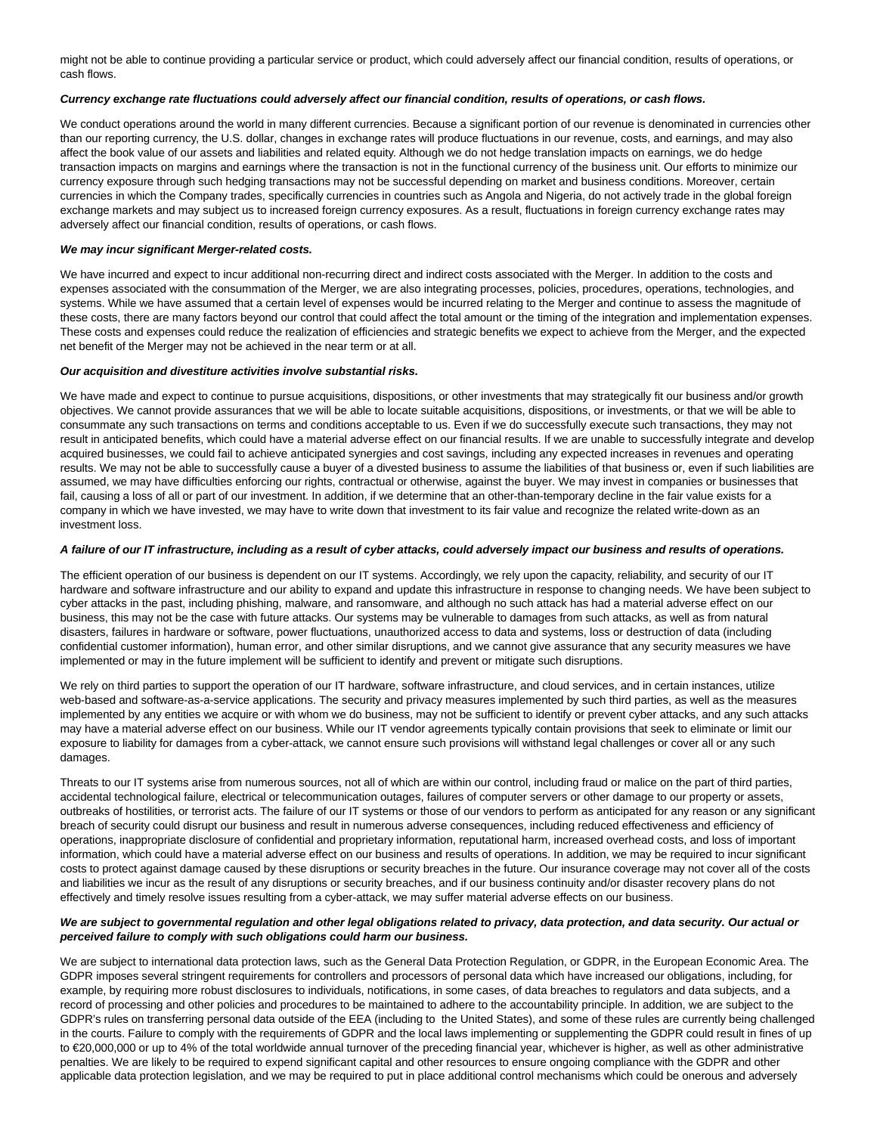might not be able to continue providing a particular service or product, which could adversely affect our financial condition, results of operations, or cash flows.

## **Currency exchange rate fluctuations could adversely affect our financial condition, results of operations, or cash flows.**

We conduct operations around the world in many different currencies. Because a significant portion of our revenue is denominated in currencies other than our reporting currency, the U.S. dollar, changes in exchange rates will produce fluctuations in our revenue, costs, and earnings, and may also affect the book value of our assets and liabilities and related equity. Although we do not hedge translation impacts on earnings, we do hedge transaction impacts on margins and earnings where the transaction is not in the functional currency of the business unit. Our efforts to minimize our currency exposure through such hedging transactions may not be successful depending on market and business conditions. Moreover, certain currencies in which the Company trades, specifically currencies in countries such as Angola and Nigeria, do not actively trade in the global foreign exchange markets and may subject us to increased foreign currency exposures. As a result, fluctuations in foreign currency exchange rates may adversely affect our financial condition, results of operations, or cash flows.

#### **We may incur significant Merger-related costs.**

We have incurred and expect to incur additional non-recurring direct and indirect costs associated with the Merger. In addition to the costs and expenses associated with the consummation of the Merger, we are also integrating processes, policies, procedures, operations, technologies, and systems. While we have assumed that a certain level of expenses would be incurred relating to the Merger and continue to assess the magnitude of these costs, there are many factors beyond our control that could affect the total amount or the timing of the integration and implementation expenses. These costs and expenses could reduce the realization of efficiencies and strategic benefits we expect to achieve from the Merger, and the expected net benefit of the Merger may not be achieved in the near term or at all.

# **Our acquisition and divestiture activities involve substantial risks.**

We have made and expect to continue to pursue acquisitions, dispositions, or other investments that may strategically fit our business and/or growth objectives. We cannot provide assurances that we will be able to locate suitable acquisitions, dispositions, or investments, or that we will be able to consummate any such transactions on terms and conditions acceptable to us. Even if we do successfully execute such transactions, they may not result in anticipated benefits, which could have a material adverse effect on our financial results. If we are unable to successfully integrate and develop acquired businesses, we could fail to achieve anticipated synergies and cost savings, including any expected increases in revenues and operating results. We may not be able to successfully cause a buyer of a divested business to assume the liabilities of that business or, even if such liabilities are assumed, we may have difficulties enforcing our rights, contractual or otherwise, against the buyer. We may invest in companies or businesses that fail, causing a loss of all or part of our investment. In addition, if we determine that an other-than-temporary decline in the fair value exists for a company in which we have invested, we may have to write down that investment to its fair value and recognize the related write-down as an investment loss.

#### **A failure of our IT infrastructure, including as a result of cyber attacks, could adversely impact our business and results of operations.**

The efficient operation of our business is dependent on our IT systems. Accordingly, we rely upon the capacity, reliability, and security of our IT hardware and software infrastructure and our ability to expand and update this infrastructure in response to changing needs. We have been subject to cyber attacks in the past, including phishing, malware, and ransomware, and although no such attack has had a material adverse effect on our business, this may not be the case with future attacks. Our systems may be vulnerable to damages from such attacks, as well as from natural disasters, failures in hardware or software, power fluctuations, unauthorized access to data and systems, loss or destruction of data (including confidential customer information), human error, and other similar disruptions, and we cannot give assurance that any security measures we have implemented or may in the future implement will be sufficient to identify and prevent or mitigate such disruptions.

We rely on third parties to support the operation of our IT hardware, software infrastructure, and cloud services, and in certain instances, utilize web-based and software-as-a-service applications. The security and privacy measures implemented by such third parties, as well as the measures implemented by any entities we acquire or with whom we do business, may not be sufficient to identify or prevent cyber attacks, and any such attacks may have a material adverse effect on our business. While our IT vendor agreements typically contain provisions that seek to eliminate or limit our exposure to liability for damages from a cyber-attack, we cannot ensure such provisions will withstand legal challenges or cover all or any such damages.

Threats to our IT systems arise from numerous sources, not all of which are within our control, including fraud or malice on the part of third parties, accidental technological failure, electrical or telecommunication outages, failures of computer servers or other damage to our property or assets, outbreaks of hostilities, or terrorist acts. The failure of our IT systems or those of our vendors to perform as anticipated for any reason or any significant breach of security could disrupt our business and result in numerous adverse consequences, including reduced effectiveness and efficiency of operations, inappropriate disclosure of confidential and proprietary information, reputational harm, increased overhead costs, and loss of important information, which could have a material adverse effect on our business and results of operations. In addition, we may be required to incur significant costs to protect against damage caused by these disruptions or security breaches in the future. Our insurance coverage may not cover all of the costs and liabilities we incur as the result of any disruptions or security breaches, and if our business continuity and/or disaster recovery plans do not effectively and timely resolve issues resulting from a cyber-attack, we may suffer material adverse effects on our business.

# **We are subject to governmental regulation and other legal obligations related to privacy, data protection, and data security. Our actual or perceived failure to comply with such obligations could harm our business.**

We are subject to international data protection laws, such as the General Data Protection Regulation, or GDPR, in the European Economic Area. The GDPR imposes several stringent requirements for controllers and processors of personal data which have increased our obligations, including, for example, by requiring more robust disclosures to individuals, notifications, in some cases, of data breaches to regulators and data subjects, and a record of processing and other policies and procedures to be maintained to adhere to the accountability principle. In addition, we are subject to the GDPR's rules on transferring personal data outside of the EEA (including to the United States), and some of these rules are currently being challenged in the courts. Failure to comply with the requirements of GDPR and the local laws implementing or supplementing the GDPR could result in fines of up to €20,000,000 or up to 4% of the total worldwide annual turnover of the preceding financial year, whichever is higher, as well as other administrative penalties. We are likely to be required to expend significant capital and other resources to ensure ongoing compliance with the GDPR and other applicable data protection legislation, and we may be required to put in place additional control mechanisms which could be onerous and adversely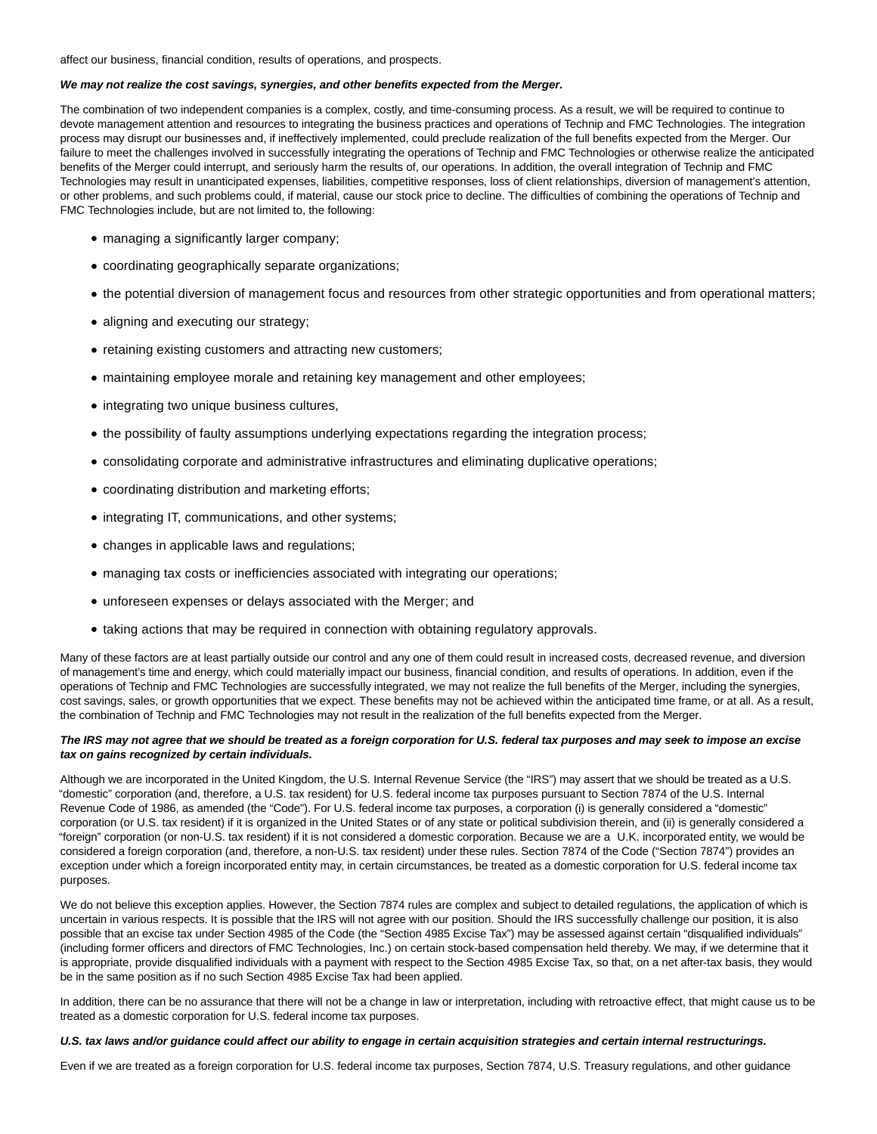affect our business, financial condition, results of operations, and prospects.

# **We may not realize the cost savings, synergies, and other benefits expected from the Merger.**

The combination of two independent companies is a complex, costly, and time-consuming process. As a result, we will be required to continue to devote management attention and resources to integrating the business practices and operations of Technip and FMC Technologies. The integration process may disrupt our businesses and, if ineffectively implemented, could preclude realization of the full benefits expected from the Merger. Our failure to meet the challenges involved in successfully integrating the operations of Technip and FMC Technologies or otherwise realize the anticipated benefits of the Merger could interrupt, and seriously harm the results of, our operations. In addition, the overall integration of Technip and FMC Technologies may result in unanticipated expenses, liabilities, competitive responses, loss of client relationships, diversion of management's attention, or other problems, and such problems could, if material, cause our stock price to decline. The difficulties of combining the operations of Technip and FMC Technologies include, but are not limited to, the following:

- managing a significantly larger company;
- coordinating geographically separate organizations;
- the potential diversion of management focus and resources from other strategic opportunities and from operational matters;
- aligning and executing our strategy;
- retaining existing customers and attracting new customers;
- maintaining employee morale and retaining key management and other employees;
- integrating two unique business cultures,
- the possibility of faulty assumptions underlying expectations regarding the integration process;
- consolidating corporate and administrative infrastructures and eliminating duplicative operations;
- coordinating distribution and marketing efforts;
- integrating IT, communications, and other systems;
- changes in applicable laws and regulations;
- managing tax costs or inefficiencies associated with integrating our operations;
- unforeseen expenses or delays associated with the Merger; and
- taking actions that may be required in connection with obtaining regulatory approvals.

Many of these factors are at least partially outside our control and any one of them could result in increased costs, decreased revenue, and diversion of management's time and energy, which could materially impact our business, financial condition, and results of operations. In addition, even if the operations of Technip and FMC Technologies are successfully integrated, we may not realize the full benefits of the Merger, including the synergies, cost savings, sales, or growth opportunities that we expect. These benefits may not be achieved within the anticipated time frame, or at all. As a result, the combination of Technip and FMC Technologies may not result in the realization of the full benefits expected from the Merger.

# **The IRS may not agree that we should be treated as a foreign corporation for U.S. federal tax purposes and may seek to impose an excise tax on gains recognized by certain individuals.**

Although we are incorporated in the United Kingdom, the U.S. Internal Revenue Service (the "IRS") may assert that we should be treated as a U.S. "domestic" corporation (and, therefore, a U.S. tax resident) for U.S. federal income tax purposes pursuant to Section 7874 of the U.S. Internal Revenue Code of 1986, as amended (the "Code"). For U.S. federal income tax purposes, a corporation (i) is generally considered a "domestic" corporation (or U.S. tax resident) if it is organized in the United States or of any state or political subdivision therein, and (ii) is generally considered a "foreign" corporation (or non-U.S. tax resident) if it is not considered a domestic corporation. Because we are a U.K. incorporated entity, we would be considered a foreign corporation (and, therefore, a non-U.S. tax resident) under these rules. Section 7874 of the Code ("Section 7874") provides an exception under which a foreign incorporated entity may, in certain circumstances, be treated as a domestic corporation for U.S. federal income tax purposes.

We do not believe this exception applies. However, the Section 7874 rules are complex and subject to detailed regulations, the application of which is uncertain in various respects. It is possible that the IRS will not agree with our position. Should the IRS successfully challenge our position, it is also possible that an excise tax under Section 4985 of the Code (the "Section 4985 Excise Tax") may be assessed against certain "disqualified individuals" (including former officers and directors of FMC Technologies, Inc.) on certain stock-based compensation held thereby. We may, if we determine that it is appropriate, provide disqualified individuals with a payment with respect to the Section 4985 Excise Tax, so that, on a net after-tax basis, they would be in the same position as if no such Section 4985 Excise Tax had been applied.

In addition, there can be no assurance that there will not be a change in law or interpretation, including with retroactive effect, that might cause us to be treated as a domestic corporation for U.S. federal income tax purposes.

#### **U.S. tax laws and/or guidance could affect our ability to engage in certain acquisition strategies and certain internal restructurings.**

Even if we are treated as a foreign corporation for U.S. federal income tax purposes, Section 7874, U.S. Treasury regulations, and other guidance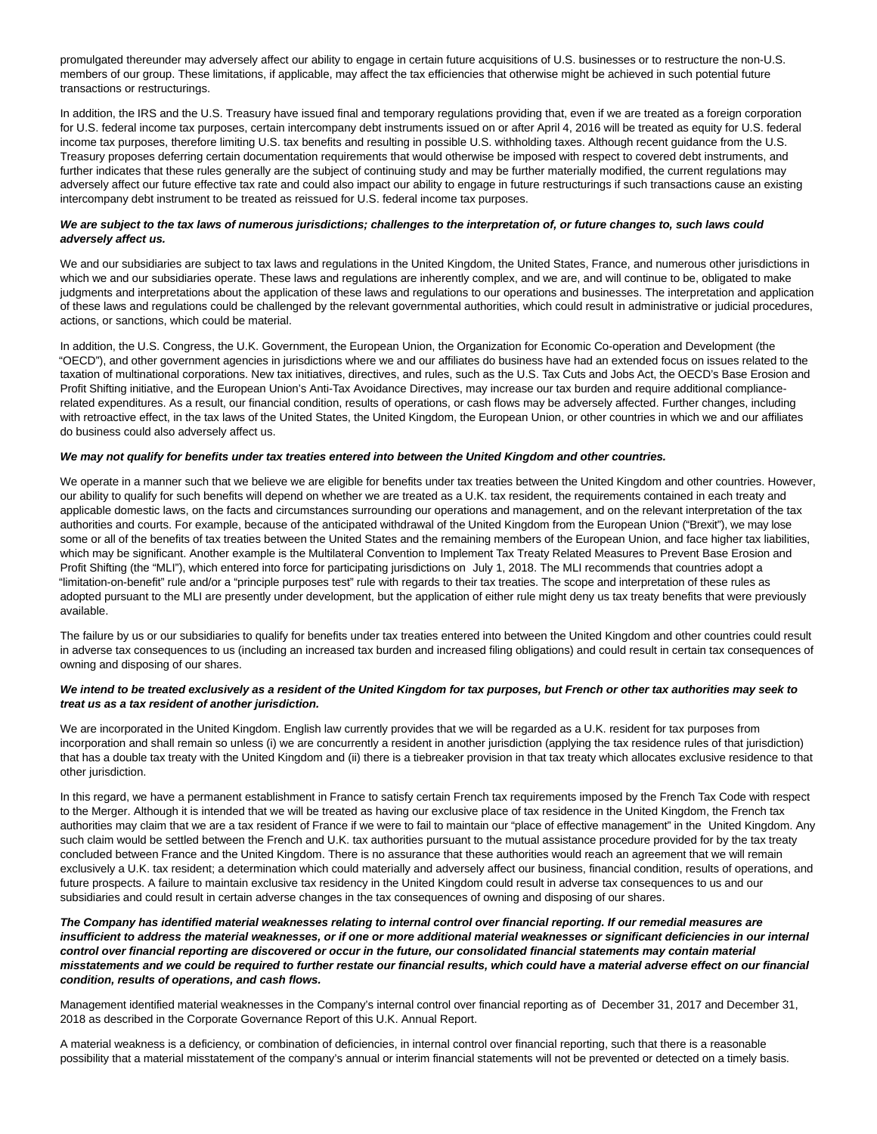promulgated thereunder may adversely affect our ability to engage in certain future acquisitions of U.S. businesses or to restructure the non-U.S. members of our group. These limitations, if applicable, may affect the tax efficiencies that otherwise might be achieved in such potential future transactions or restructurings.

In addition, the IRS and the U.S. Treasury have issued final and temporary regulations providing that, even if we are treated as a foreign corporation for U.S. federal income tax purposes, certain intercompany debt instruments issued on or after April 4, 2016 will be treated as equity for U.S. federal income tax purposes, therefore limiting U.S. tax benefits and resulting in possible U.S. withholding taxes. Although recent guidance from the U.S. Treasury proposes deferring certain documentation requirements that would otherwise be imposed with respect to covered debt instruments, and further indicates that these rules generally are the subject of continuing study and may be further materially modified, the current regulations may adversely affect our future effective tax rate and could also impact our ability to engage in future restructurings if such transactions cause an existing intercompany debt instrument to be treated as reissued for U.S. federal income tax purposes.

# **We are subject to the tax laws of numerous jurisdictions; challenges to the interpretation of, or future changes to, such laws could adversely affect us.**

We and our subsidiaries are subject to tax laws and regulations in the United Kingdom, the United States, France, and numerous other jurisdictions in which we and our subsidiaries operate. These laws and regulations are inherently complex, and we are, and will continue to be, obligated to make judgments and interpretations about the application of these laws and regulations to our operations and businesses. The interpretation and application of these laws and regulations could be challenged by the relevant governmental authorities, which could result in administrative or judicial procedures, actions, or sanctions, which could be material.

In addition, the U.S. Congress, the U.K. Government, the European Union, the Organization for Economic Co-operation and Development (the "OECD"), and other government agencies in jurisdictions where we and our affiliates do business have had an extended focus on issues related to the taxation of multinational corporations. New tax initiatives, directives, and rules, such as the U.S. Tax Cuts and Jobs Act, the OECD's Base Erosion and Profit Shifting initiative, and the European Union's Anti-Tax Avoidance Directives, may increase our tax burden and require additional compliancerelated expenditures. As a result, our financial condition, results of operations, or cash flows may be adversely affected. Further changes, including with retroactive effect, in the tax laws of the United States, the United Kingdom, the European Union, or other countries in which we and our affiliates do business could also adversely affect us.

# **We may not qualify for benefits under tax treaties entered into between the United Kingdom and other countries.**

We operate in a manner such that we believe we are eligible for benefits under tax treaties between the United Kingdom and other countries. However, our ability to qualify for such benefits will depend on whether we are treated as a U.K. tax resident, the requirements contained in each treaty and applicable domestic laws, on the facts and circumstances surrounding our operations and management, and on the relevant interpretation of the tax authorities and courts. For example, because of the anticipated withdrawal of the United Kingdom from the European Union ("Brexit"), we may lose some or all of the benefits of tax treaties between the United States and the remaining members of the European Union, and face higher tax liabilities, which may be significant. Another example is the Multilateral Convention to Implement Tax Treaty Related Measures to Prevent Base Erosion and Profit Shifting (the "MLI"), which entered into force for participating jurisdictions on July 1, 2018. The MLI recommends that countries adopt a "limitation-on-benefit" rule and/or a "principle purposes test" rule with regards to their tax treaties. The scope and interpretation of these rules as adopted pursuant to the MLI are presently under development, but the application of either rule might deny us tax treaty benefits that were previously available.

The failure by us or our subsidiaries to qualify for benefits under tax treaties entered into between the United Kingdom and other countries could result in adverse tax consequences to us (including an increased tax burden and increased filing obligations) and could result in certain tax consequences of owning and disposing of our shares.

## **We intend to be treated exclusively as a resident of the United Kingdom for tax purposes, but French or other tax authorities may seek to treat us as a tax resident of another jurisdiction.**

We are incorporated in the United Kingdom. English law currently provides that we will be regarded as a U.K. resident for tax purposes from incorporation and shall remain so unless (i) we are concurrently a resident in another jurisdiction (applying the tax residence rules of that jurisdiction) that has a double tax treaty with the United Kingdom and (ii) there is a tiebreaker provision in that tax treaty which allocates exclusive residence to that other jurisdiction.

In this regard, we have a permanent establishment in France to satisfy certain French tax requirements imposed by the French Tax Code with respect to the Merger. Although it is intended that we will be treated as having our exclusive place of tax residence in the United Kingdom, the French tax authorities may claim that we are a tax resident of France if we were to fail to maintain our "place of effective management" in the United Kingdom. Any such claim would be settled between the French and U.K. tax authorities pursuant to the mutual assistance procedure provided for by the tax treaty concluded between France and the United Kingdom. There is no assurance that these authorities would reach an agreement that we will remain exclusively a U.K. tax resident; a determination which could materially and adversely affect our business, financial condition, results of operations, and future prospects. A failure to maintain exclusive tax residency in the United Kingdom could result in adverse tax consequences to us and our subsidiaries and could result in certain adverse changes in the tax consequences of owning and disposing of our shares.

**The Company has identified material weaknesses relating to internal control over financial reporting. If our remedial measures are insufficient to address the material weaknesses, or if one or more additional material weaknesses or significant deficiencies in our internal control over financial reporting are discovered or occur in the future, our consolidated financial statements may contain material misstatements and we could be required to further restate our financial results, which could have a material adverse effect on our financial condition, results of operations, and cash flows.**

Management identified material weaknesses in the Company's internal control over financial reporting as of December 31, 2017 and December 31, 2018 as described in the Corporate Governance Report of this U.K. Annual Report.

A material weakness is a deficiency, or combination of deficiencies, in internal control over financial reporting, such that there is a reasonable possibility that a material misstatement of the company's annual or interim financial statements will not be prevented or detected on a timely basis.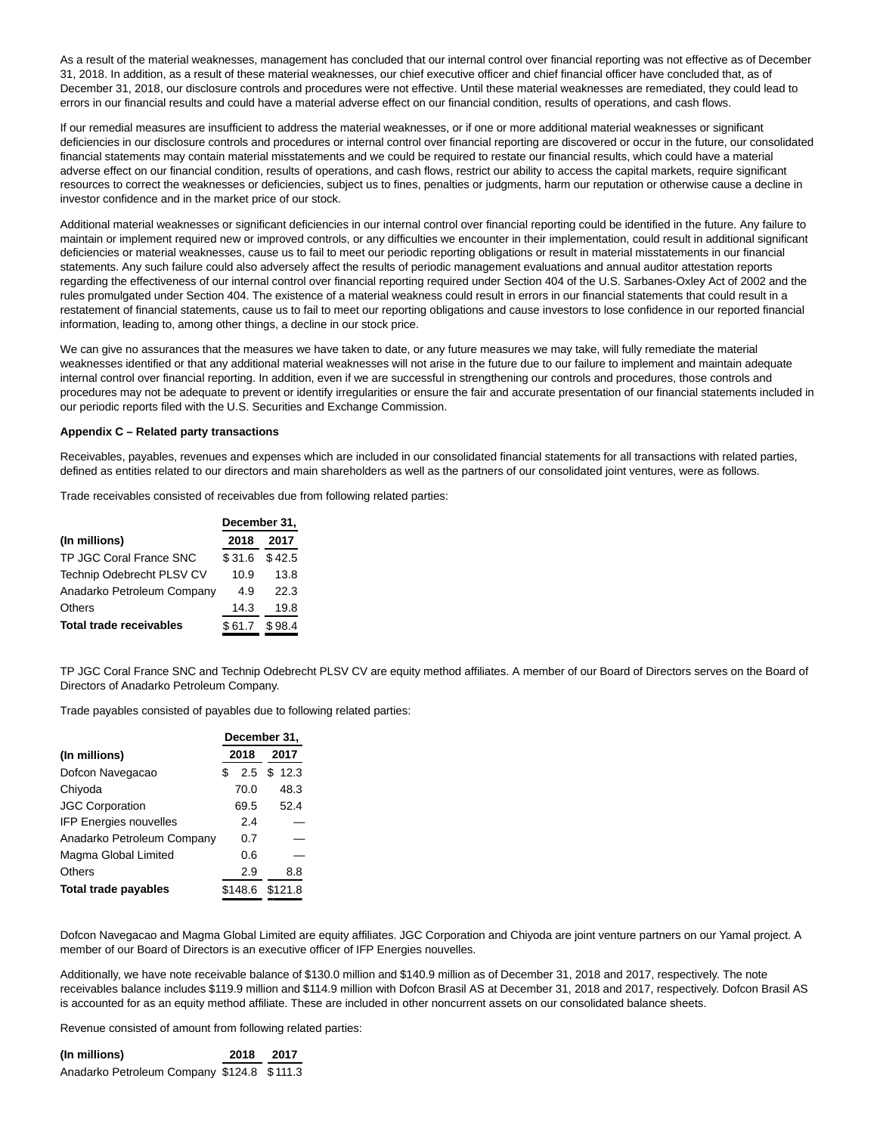As a result of the material weaknesses, management has concluded that our internal control over financial reporting was not effective as of December 31, 2018. In addition, as a result of these material weaknesses, our chief executive officer and chief financial officer have concluded that, as of December 31, 2018, our disclosure controls and procedures were not effective. Until these material weaknesses are remediated, they could lead to errors in our financial results and could have a material adverse effect on our financial condition, results of operations, and cash flows.

If our remedial measures are insufficient to address the material weaknesses, or if one or more additional material weaknesses or significant deficiencies in our disclosure controls and procedures or internal control over financial reporting are discovered or occur in the future, our consolidated financial statements may contain material misstatements and we could be required to restate our financial results, which could have a material adverse effect on our financial condition, results of operations, and cash flows, restrict our ability to access the capital markets, require significant resources to correct the weaknesses or deficiencies, subject us to fines, penalties or judgments, harm our reputation or otherwise cause a decline in investor confidence and in the market price of our stock.

Additional material weaknesses or significant deficiencies in our internal control over financial reporting could be identified in the future. Any failure to maintain or implement required new or improved controls, or any difficulties we encounter in their implementation, could result in additional significant deficiencies or material weaknesses, cause us to fail to meet our periodic reporting obligations or result in material misstatements in our financial statements. Any such failure could also adversely affect the results of periodic management evaluations and annual auditor attestation reports regarding the effectiveness of our internal control over financial reporting required under Section 404 of the U.S. Sarbanes-Oxley Act of 2002 and the rules promulgated under Section 404. The existence of a material weakness could result in errors in our financial statements that could result in a restatement of financial statements, cause us to fail to meet our reporting obligations and cause investors to lose confidence in our reported financial information, leading to, among other things, a decline in our stock price.

We can give no assurances that the measures we have taken to date, or any future measures we may take, will fully remediate the material weaknesses identified or that any additional material weaknesses will not arise in the future due to our failure to implement and maintain adequate internal control over financial reporting. In addition, even if we are successful in strengthening our controls and procedures, those controls and procedures may not be adequate to prevent or identify irregularities or ensure the fair and accurate presentation of our financial statements included in our periodic reports filed with the U.S. Securities and Exchange Commission.

# **Appendix C – Related party transactions**

Receivables, payables, revenues and expenses which are included in our consolidated financial statements for all transactions with related parties, defined as entities related to our directors and main shareholders as well as the partners of our consolidated joint ventures, were as follows.

Trade receivables consisted of receivables due from following related parties:

|                                  | December 31, |        |
|----------------------------------|--------------|--------|
| (In millions)                    | 2018         | 2017   |
| TP JGC Coral France SNC          | \$31.6       | \$42.5 |
| <b>Technip Odebrecht PLSV CV</b> | 10.9         | 13.8   |
| Anadarko Petroleum Company       | 4.9          | 22.3   |
| Others                           | 14.3         | 19.8   |
| <b>Total trade receivables</b>   | \$61.7       | \$98.4 |

TP JGC Coral France SNC and Technip Odebrecht PLSV CV are equity method affiliates. A member of our Board of Directors serves on the Board of Directors of Anadarko Petroleum Company.

Trade payables consisted of payables due to following related parties:

|                               | December 31,<br>2017<br>2018 |         |  |             |
|-------------------------------|------------------------------|---------|--|-------------|
| (In millions)                 |                              |         |  |             |
| Dofcon Navegacao              | S                            |         |  | 2.5 \$ 12.3 |
| Chiyoda                       |                              | 70.0    |  | 48.3        |
| <b>JGC Corporation</b>        |                              | 69.5    |  | 52.4        |
| <b>IFP Energies nouvelles</b> |                              | 2.4     |  |             |
| Anadarko Petroleum Company    |                              | 0.7     |  |             |
| Magma Global Limited          |                              | 0.6     |  |             |
| Others                        |                              | 2.9     |  | 8.8         |
| Total trade payables          |                              | \$148.6 |  | \$121.8     |

Dofcon Navegacao and Magma Global Limited are equity affiliates. JGC Corporation and Chiyoda are joint venture partners on our Yamal project. A member of our Board of Directors is an executive officer of IFP Energies nouvelles.

Additionally, we have note receivable balance of \$130.0 million and \$140.9 million as of December 31, 2018 and 2017, respectively. The note receivables balance includes \$119.9 million and \$114.9 million with Dofcon Brasil AS at December 31, 2018 and 2017, respectively. Dofcon Brasil AS is accounted for as an equity method affiliate. These are included in other noncurrent assets on our consolidated balance sheets.

Revenue consisted of amount from following related parties:

| (In millions)                              | 2018 2017 |  |
|--------------------------------------------|-----------|--|
| Anadarko Petroleum Company \$124.8 \$111.3 |           |  |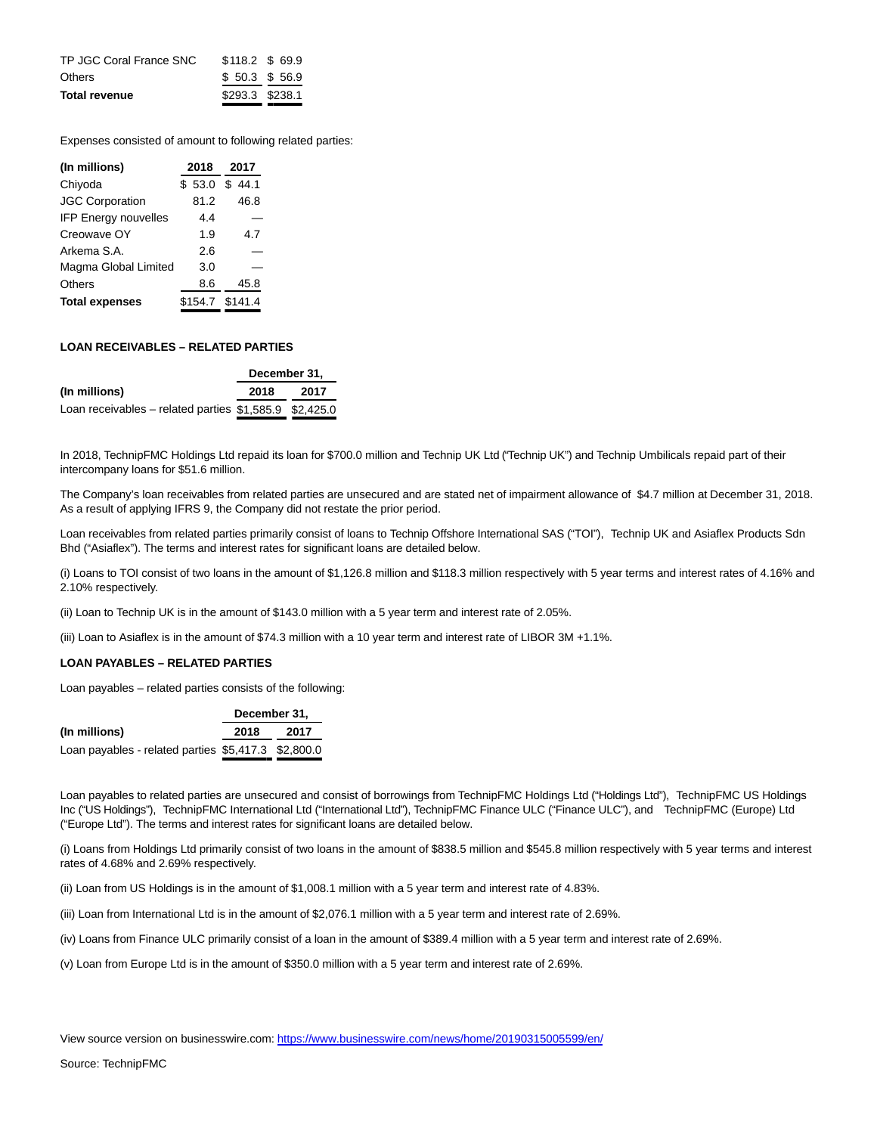| <b>Total revenue</b>    | \$293.3 \$238.1      |  |
|-------------------------|----------------------|--|
| <b>Others</b>           | \$50.3\$56.9         |  |
| TP JGC Coral France SNC | $$118.2 \quad $69.9$ |  |

Expenses consisted of amount to following related parties:

| (In millions)               | 2018            | 2017       |
|-----------------------------|-----------------|------------|
| Chiyoda                     | \$53.0          | \$<br>44.1 |
| <b>JGC Corporation</b>      | 81.2            | 46.8       |
| <b>IFP Energy nouvelles</b> | 4.4             |            |
| Creowave OY                 | 1.9             | 4.7        |
| Arkema S.A.                 | 2.6             |            |
| Magma Global Limited        | 3.0             |            |
| Others                      | 8.6             | 45.8       |
| <b>Total expenses</b>       | \$154.7 \$141.4 |            |

# **LOAN RECEIVABLES – RELATED PARTIES**

|                                                          | December 31. |      |
|----------------------------------------------------------|--------------|------|
| (In millions)                                            | 2018         | 2017 |
| Loan receivables – related parties $$1,585.9$ $$2,425.0$ |              |      |

In 2018, TechnipFMC Holdings Ltd repaid its loan for \$700.0 million and Technip UK Ltd ("Technip UK") and Technip Umbilicals repaid part of their intercompany loans for \$51.6 million.

The Company's loan receivables from related parties are unsecured and are stated net of impairment allowance of \$4.7 million at December 31, 2018. As a result of applying IFRS 9, the Company did not restate the prior period.

Loan receivables from related parties primarily consist of loans to Technip Offshore International SAS ("TOI"), Technip UK and Asiaflex Products Sdn Bhd ("Asiaflex"). The terms and interest rates for significant loans are detailed below.

(i) Loans to TOI consist of two loans in the amount of \$1,126.8 million and \$118.3 million respectively with 5 year terms and interest rates of 4.16% and 2.10% respectively.

(ii) Loan to Technip UK is in the amount of \$143.0 million with a 5 year term and interest rate of 2.05%.

(iii) Loan to Asiaflex is in the amount of \$74.3 million with a 10 year term and interest rate of LIBOR 3M +1.1%.

# **LOAN PAYABLES – RELATED PARTIES**

Loan payables – related parties consists of the following:

|                                                     | December 31. |      |
|-----------------------------------------------------|--------------|------|
| (In millions)                                       | 2018         | 2017 |
| Loan payables - related parties \$5,417.3 \$2,800.0 |              |      |

Loan payables to related parties are unsecured and consist of borrowings from TechnipFMC Holdings Ltd ("Holdings Ltd"), TechnipFMC US Holdings Inc ("US Holdings"), TechnipFMC International Ltd ("International Ltd"), TechnipFMC Finance ULC ("Finance ULC"), and TechnipFMC (Europe) Ltd ("Europe Ltd"). The terms and interest rates for significant loans are detailed below.

(i) Loans from Holdings Ltd primarily consist of two loans in the amount of \$838.5 million and \$545.8 million respectively with 5 year terms and interest rates of 4.68% and 2.69% respectively.

(ii) Loan from US Holdings is in the amount of \$1,008.1 million with a 5 year term and interest rate of 4.83%.

(iii) Loan from International Ltd is in the amount of \$2,076.1 million with a 5 year term and interest rate of 2.69%.

(iv) Loans from Finance ULC primarily consist of a loan in the amount of \$389.4 million with a 5 year term and interest rate of 2.69%.

(v) Loan from Europe Ltd is in the amount of \$350.0 million with a 5 year term and interest rate of 2.69%.